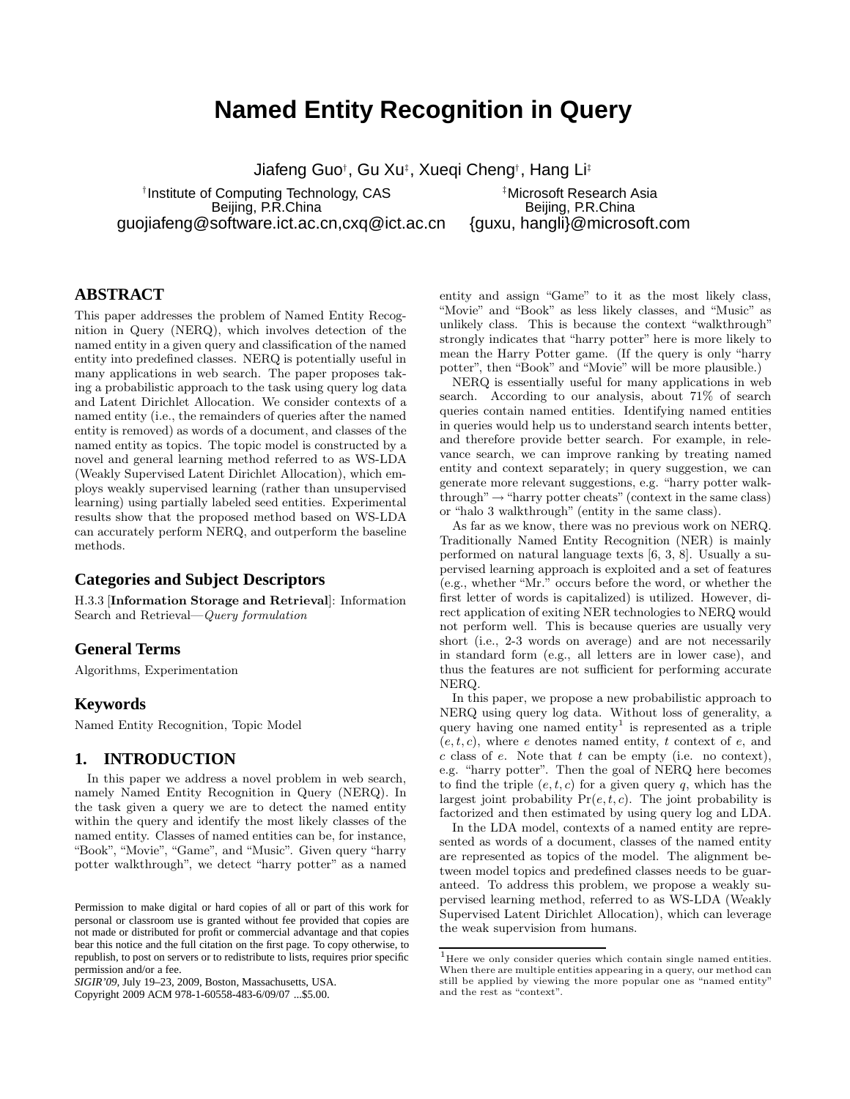# **Named Entity Recognition in Query**

Jiafeng Guo†, Gu Xu‡, Xueqi Cheng†, Hang Li‡

†Institute of Computing Technology, CAS Beijing, P.R.China guojiafeng@software.ict.ac.cn,cxq@ict.ac.cn

‡Microsoft Research Asia Beijing, P.R.China {guxu, hangli}@microsoft.com

# **ABSTRACT**

This paper addresses the problem of Named Entity Recognition in Query (NERQ), which involves detection of the named entity in a given query and classification of the named entity into predefined classes. NERQ is potentially useful in many applications in web search. The paper proposes taking a probabilistic approach to the task using query log data and Latent Dirichlet Allocation. We consider contexts of a named entity (i.e., the remainders of queries after the named entity is removed) as words of a document, and classes of the named entity as topics. The topic model is constructed by a novel and general learning method referred to as WS-LDA (Weakly Supervised Latent Dirichlet Allocation), which employs weakly supervised learning (rather than unsupervised learning) using partially labeled seed entities. Experimental results show that the proposed method based on WS-LDA can accurately perform NERQ, and outperform the baseline methods.

# **Categories and Subject Descriptors**

H.3.3 [**Information Storage and Retrieval**]: Information Search and Retrieval—*Query formulation*

# **General Terms**

Algorithms, Experimentation

# **Keywords**

Named Entity Recognition, Topic Model

## **1. INTRODUCTION**

In this paper we address a novel problem in web search, namely Named Entity Recognition in Query (NERQ). In the task given a query we are to detect the named entity within the query and identify the most likely classes of the named entity. Classes of named entities can be, for instance, "Book", "Movie", "Game", and "Music". Given query "harry potter walkthrough", we detect "harry potter" as a named

Copyright 2009 ACM 978-1-60558-483-6/09/07 ...\$5.00.

entity and assign "Game" to it as the most likely class, "Movie" and "Book" as less likely classes, and "Music" as unlikely class. This is because the context "walkthrough" strongly indicates that "harry potter" here is more likely to mean the Harry Potter game. (If the query is only "harry potter", then "Book" and "Movie" will be more plausible.)

NERQ is essentially useful for many applications in web search. According to our analysis, about 71% of search queries contain named entities. Identifying named entities in queries would help us to understand search intents better, and therefore provide better search. For example, in relevance search, we can improve ranking by treating named entity and context separately; in query suggestion, we can generate more relevant suggestions, e.g. "harry potter walkthrough" $\rightarrow$  "harry potter cheats" (context in the same class) or "halo 3 walkthrough" (entity in the same class).

As far as we know, there was no previous work on NERQ. Traditionally Named Entity Recognition (NER) is mainly performed on natural language texts [6, 3, 8]. Usually a supervised learning approach is exploited and a set of features (e.g., whether "Mr." occurs before the word, or whether the first letter of words is capitalized) is utilized. However, direct application of exiting NER technologies to NERQ would not perform well. This is because queries are usually very short (i.e., 2-3 words on average) and are not necessarily in standard form (e.g., all letters are in lower case), and thus the features are not sufficient for performing accurate NERQ.

In this paper, we propose a new probabilistic approach to NERQ using query log data. Without loss of generality, a query having one named entity<sup>1</sup> is represented as a triple  $(e, t, c)$ , where e denotes named entity, t context of e, and  $c$  class of  $e$ . Note that  $t$  can be empty (i.e. no context), e.g. "harry potter". Then the goal of NERQ here becomes to find the triple  $(e, t, c)$  for a given query q, which has the largest joint probability  $Pr(e, t, c)$ . The joint probability is factorized and then estimated by using query log and LDA.

In the LDA model, contexts of a named entity are represented as words of a document, classes of the named entity are represented as topics of the model. The alignment between model topics and predefined classes needs to be guaranteed. To address this problem, we propose a weakly supervised learning method, referred to as WS-LDA (Weakly Supervised Latent Dirichlet Allocation), which can leverage the weak supervision from humans.

Permission to make digital or hard copies of all or part of this work for personal or classroom use is granted without fee provided that copies are not made or distributed for profit or commercial advantage and that copies bear this notice and the full citation on the first page. To copy otherwise, to republish, to post on servers or to redistribute to lists, requires prior specific permission and/or a fee.

*SIGIR'09,* July 19–23, 2009, Boston, Massachusetts, USA.

 $1$ Here we only consider queries which contain single named entities. When there are multiple entities appearing in a query, our method can still be applied by viewing the more popular one as "named entity" and the rest as "context".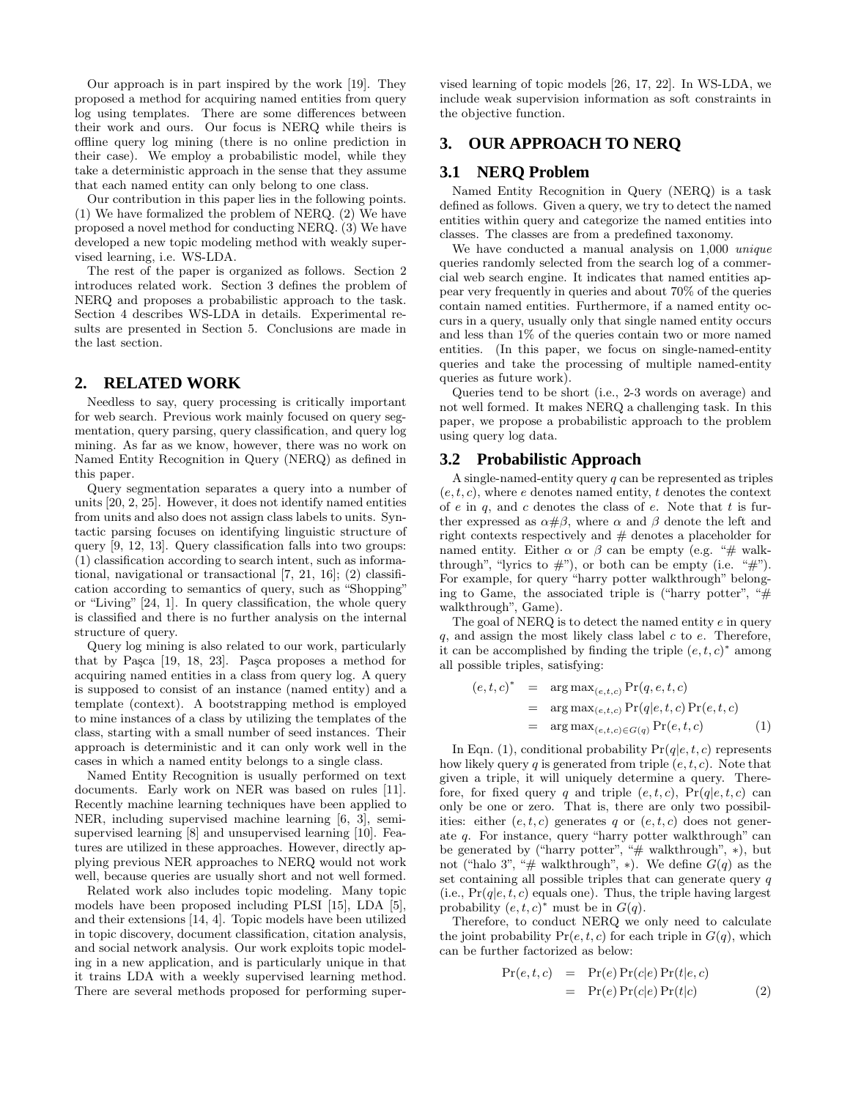Our approach is in part inspired by the work [19]. They proposed a method for acquiring named entities from query log using templates. There are some differences between their work and ours. Our focus is NERQ while theirs is offline query log mining (there is no online prediction in their case). We employ a probabilistic model, while they take a deterministic approach in the sense that they assume that each named entity can only belong to one class.

Our contribution in this paper lies in the following points. (1) We have formalized the problem of NERQ. (2) We have proposed a novel method for conducting NERQ. (3) We have developed a new topic modeling method with weakly supervised learning, i.e. WS-LDA.

The rest of the paper is organized as follows. Section 2 introduces related work. Section 3 defines the problem of NERQ and proposes a probabilistic approach to the task. Section 4 describes WS-LDA in details. Experimental results are presented in Section 5. Conclusions are made in the last section.

## **2. RELATED WORK**

Needless to say, query processing is critically important for web search. Previous work mainly focused on query segmentation, query parsing, query classification, and query log mining. As far as we know, however, there was no work on Named Entity Recognition in Query (NERQ) as defined in this paper.

Query segmentation separates a query into a number of units [20, 2, 25]. However, it does not identify named entities from units and also does not assign class labels to units. Syntactic parsing focuses on identifying linguistic structure of query [9, 12, 13]. Query classification falls into two groups: (1) classification according to search intent, such as informational, navigational or transactional [7, 21, 16]; (2) classification according to semantics of query, such as "Shopping" or "Living" [24, 1]. In query classification, the whole query is classified and there is no further analysis on the internal structure of query.

Query log mining is also related to our work, particularly that by Paşca [19, 18, 23]. Paşca proposes a method for acquiring named entities in a class from query log. A query is supposed to consist of an instance (named entity) and a template (context). A bootstrapping method is employed to mine instances of a class by utilizing the templates of the class, starting with a small number of seed instances. Their approach is deterministic and it can only work well in the cases in which a named entity belongs to a single class.

Named Entity Recognition is usually performed on text documents. Early work on NER was based on rules [11]. Recently machine learning techniques have been applied to NER, including supervised machine learning [6, 3], semisupervised learning [8] and unsupervised learning [10]. Features are utilized in these approaches. However, directly applying previous NER approaches to NERQ would not work well, because queries are usually short and not well formed.

Related work also includes topic modeling. Many topic models have been proposed including PLSI [15], LDA [5], and their extensions [14, 4]. Topic models have been utilized in topic discovery, document classification, citation analysis, and social network analysis. Our work exploits topic modeling in a new application, and is particularly unique in that it trains LDA with a weekly supervised learning method. There are several methods proposed for performing supervised learning of topic models [26, 17, 22]. In WS-LDA, we include weak supervision information as soft constraints in the objective function.

# **3. OUR APPROACH TO NERQ**

### **3.1 NERQ Problem**

Named Entity Recognition in Query (NERQ) is a task defined as follows. Given a query, we try to detect the named entities within query and categorize the named entities into classes. The classes are from a predefined taxonomy.

We have conducted a manual analysis on 1,000 *unique* queries randomly selected from the search log of a commercial web search engine. It indicates that named entities appear very frequently in queries and about 70% of the queries contain named entities. Furthermore, if a named entity occurs in a query, usually only that single named entity occurs and less than 1% of the queries contain two or more named entities. (In this paper, we focus on single-named-entity queries and take the processing of multiple named-entity queries as future work).

Queries tend to be short (i.e., 2-3 words on average) and not well formed. It makes NERQ a challenging task. In this paper, we propose a probabilistic approach to the problem using query log data.

#### **3.2 Probabilistic Approach**

A single-named-entity query  $q$  can be represented as triples  $(e, t, c)$ , where  $e$  denotes named entity,  $t$  denotes the context of e in  $q$ , and c denotes the class of e. Note that t is further expressed as  $\alpha \# \beta$ , where  $\alpha$  and  $\beta$  denote the left and right contexts respectively and # denotes a placeholder for named entity. Either  $\alpha$  or  $\beta$  can be empty (e.g. "# walkthrough", "lyrics to  $\#$ "), or both can be empty (i.e. " $\#$ "). For example, for query "harry potter walkthrough" belonging to Game, the associated triple is ("harry potter", " $#$ walkthrough", Game).

The goal of NERQ is to detect the named entity e in query q, and assign the most likely class label  $c$  to  $e$ . Therefore, it can be accomplished by finding the triple  $(e, t, c)^*$  among all possible triples, satisfying:

$$
(e, t, c)^* = \arg \max_{(e, t, c)} \Pr(q, e, t, c)
$$
  
= 
$$
\arg \max_{(e, t, c)} \Pr(q|e, t, c) \Pr(e, t, c)
$$
  
= 
$$
\arg \max_{(e, t, c) \in G(q)} \Pr(e, t, c)
$$
 (1)

In Eqn. (1), conditional probability  $Pr(q|e, t, c)$  represents how likely query q is generated from triple  $(e, t, c)$ . Note that given a triple, it will uniquely determine a query. Therefore, for fixed query  $q$  and triple  $(e, t, c)$ ,  $Pr(q|e, t, c)$  can only be one or zero. That is, there are only two possibilities: either  $(e, t, c)$  generates q or  $(e, t, c)$  does not generate q. For instance, query "harry potter walkthrough" can be generated by ("harry potter", "# walkthrough", ∗), but not ("halo 3", "# walkthrough", \*). We define  $G(q)$  as the set containing all possible triples that can generate query  $q$ (i.e.,  $Pr(q|e, t, c)$  equals one). Thus, the triple having largest probability  $(e, t, c)^*$  must be in  $G(q)$ .

Therefore, to conduct NERQ we only need to calculate the joint probability  $Pr(e, t, c)$  for each triple in  $G(q)$ , which can be further factorized as below:

$$
Pr(e, t, c) = Pr(e) Pr(c|e) Pr(t|e, c)
$$
  
= Pr(e) Pr(c|e) Pr(t|c) (2)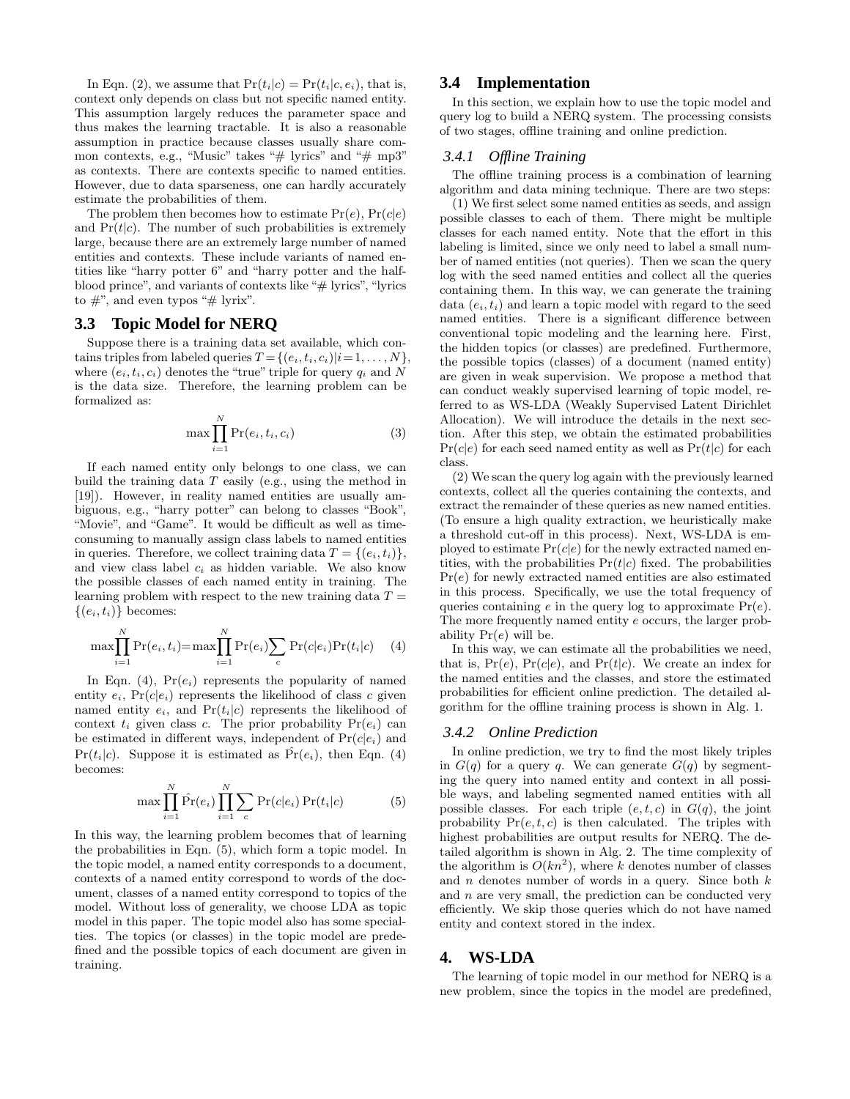In Eqn. (2), we assume that  $Pr(t_i|c) = Pr(t_i|c, e_i)$ , that is, context only depends on class but not specific named entity. This assumption largely reduces the parameter space and thus makes the learning tractable. It is also a reasonable assumption in practice because classes usually share common contexts, e.g., "Music" takes " $\#$  lyrics" and " $\#$  mp3" as contexts. There are contexts specific to named entities. However, due to data sparseness, one can hardly accurately estimate the probabilities of them.

The problem then becomes how to estimate  $Pr(e)$ ,  $Pr(c|e)$ and  $Pr(t|c)$ . The number of such probabilities is extremely large, because there are an extremely large number of named entities and contexts. These include variants of named entities like "harry potter 6" and "harry potter and the halfblood prince", and variants of contexts like "# lyrics", "lyrics to  $\#$ ", and even typos " $\#$  lyrix".

#### **3.3 Topic Model for NERQ**

Suppose there is a training data set available, which contains triples from labeled queries  $T = \{(e_i, t_i, c_i)|i=1,\ldots,N\}$ where  $(e_i, t_i, c_i)$  denotes the "true" triple for query  $q_i$  and N is the data size. Therefore, the learning problem can be formalized as:

$$
\max \prod_{i=1}^{N} \Pr(e_i, t_i, c_i)
$$
\n(3)

If each named entity only belongs to one class, we can build the training data  $T$  easily (e.g., using the method in [19]). However, in reality named entities are usually ambiguous, e.g., "harry potter" can belong to classes "Book", "Movie", and "Game". It would be difficult as well as timeconsuming to manually assign class labels to named entities in queries. Therefore, we collect training data  $T = \{(e_i, t_i)\}\,$ , and view class label  $c_i$  as hidden variable. We also know the possible classes of each named entity in training. The learning problem with respect to the new training data  $T =$  $\{(e_i, t_i)\}\)$  becomes:

$$
\max \prod_{i=1}^{N} \Pr(e_i, t_i) = \max \prod_{i=1}^{N} \Pr(e_i) \sum_{c} \Pr(c|e_i) \Pr(t_i|c) \quad (4)
$$

In Eqn. (4),  $Pr(e_i)$  represents the popularity of named entity  $e_i$ ,  $Pr(c|e_i)$  represents the likelihood of class c given named entity  $e_i$ , and  $Pr(t_i|c)$  represents the likelihood of context  $t_i$  given class c. The prior probability  $Pr(e_i)$  can be estimated in different ways, independent of  $Pr(c|e_i)$  and  $Pr(t_i|c)$ . Suppose it is estimated as  $\hat{Pr}(e_i)$ , then Eqn. (4) becomes:

$$
\max \prod_{i=1}^{N} \hat{\Pr}(e_i) \prod_{i=1}^{N} \sum_{c} \Pr(c|e_i) \Pr(t_i|c)
$$
 (5)

In this way, the learning problem becomes that of learning the probabilities in Eqn. (5), which form a topic model. In the topic model, a named entity corresponds to a document, contexts of a named entity correspond to words of the document, classes of a named entity correspond to topics of the model. Without loss of generality, we choose LDA as topic model in this paper. The topic model also has some specialties. The topics (or classes) in the topic model are predefined and the possible topics of each document are given in training.

## **3.4 Implementation**

In this section, we explain how to use the topic model and query log to build a NERQ system. The processing consists of two stages, offline training and online prediction.

#### *3.4.1 Offline Training*

The offline training process is a combination of learning algorithm and data mining technique. There are two steps:

(1) We first select some named entities as seeds, and assign possible classes to each of them. There might be multiple classes for each named entity. Note that the effort in this labeling is limited, since we only need to label a small number of named entities (not queries). Then we scan the query log with the seed named entities and collect all the queries containing them. In this way, we can generate the training data  $(e_i, t_i)$  and learn a topic model with regard to the seed named entities. There is a significant difference between conventional topic modeling and the learning here. First, the hidden topics (or classes) are predefined. Furthermore, the possible topics (classes) of a document (named entity) are given in weak supervision. We propose a method that can conduct weakly supervised learning of topic model, referred to as WS-LDA (Weakly Supervised Latent Dirichlet Allocation). We will introduce the details in the next section. After this step, we obtain the estimated probabilities  $Pr(c|e)$  for each seed named entity as well as  $Pr(t|c)$  for each class.

(2) We scan the query log again with the previously learned contexts, collect all the queries containing the contexts, and extract the remainder of these queries as new named entities. (To ensure a high quality extraction, we heuristically make a threshold cut-off in this process). Next, WS-LDA is employed to estimate  $Pr(c|e)$  for the newly extracted named entities, with the probabilities  $Pr(t|c)$  fixed. The probabilities  $Pr(e)$  for newly extracted named entities are also estimated in this process. Specifically, we use the total frequency of queries containing e in the query log to approximate  $Pr(e)$ . The more frequently named entity e occurs, the larger probability  $Pr(e)$  will be.

In this way, we can estimate all the probabilities we need, that is,  $Pr(e)$ ,  $Pr(c|e)$ , and  $Pr(t|c)$ . We create an index for the named entities and the classes, and store the estimated probabilities for efficient online prediction. The detailed algorithm for the offline training process is shown in Alg. 1.

#### *3.4.2 Online Prediction*

In online prediction, we try to find the most likely triples in  $G(q)$  for a query q. We can generate  $G(q)$  by segmenting the query into named entity and context in all possible ways, and labeling segmented named entities with all possible classes. For each triple  $(e, t, c)$  in  $G(q)$ , the joint probability  $Pr(e, t, c)$  is then calculated. The triples with highest probabilities are output results for NERQ. The detailed algorithm is shown in Alg. 2. The time complexity of the algorithm is  $O(kn^2)$ , where k denotes number of classes and  $n$  denotes number of words in a query. Since both  $k$ and  $n$  are very small, the prediction can be conducted very efficiently. We skip those queries which do not have named entity and context stored in the index.

### **4. WS-LDA**

The learning of topic model in our method for NERQ is a new problem, since the topics in the model are predefined,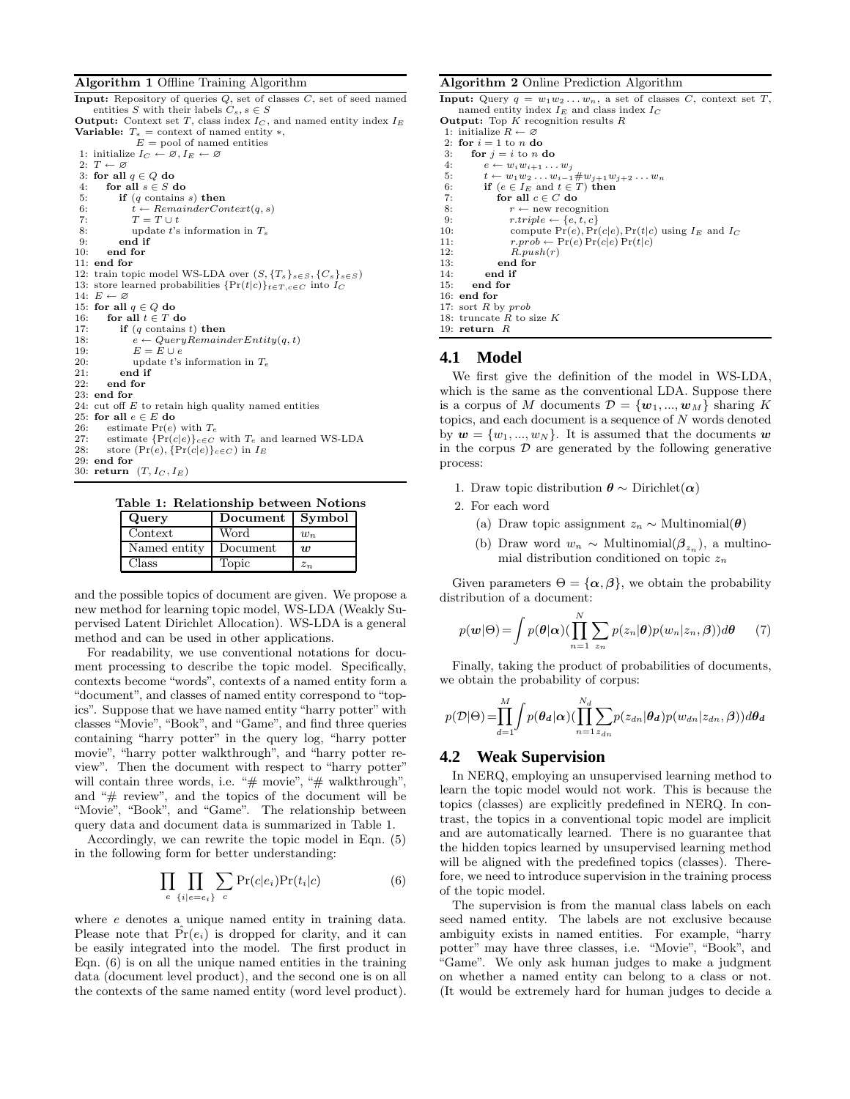#### **Algorithm 1** Offline Training Algorithm

| <b>Input:</b> Repository of queries $Q$ , set of classes $C$ , set of seed named |
|----------------------------------------------------------------------------------|
| entities S with their labels $C_s$ , $s \in S$                                   |
| <b>Output:</b> Context set T, class index $I_C$ , and named entity index $I_E$   |
| <b>Variable:</b> $T_* = \text{context of named entity *,}$                       |
| $E =$ pool of named entities                                                     |
| 1: initialize $I_C \leftarrow \emptyset, I_F \leftarrow \emptyset$               |
| 2: $T \leftarrow \varnothing$                                                    |
| 3: for all $q \in Q$ do                                                          |
| for all $s \in S$ do<br>4:                                                       |
| 5.<br>if $(q \text{ contains } s)$ then                                          |
| $t \leftarrow RemainderContext(q, s)$<br>6:                                      |
| $T = T \cup t$<br>7:                                                             |
| 8:<br>update t's information in $T_s$                                            |
| end if<br>9:                                                                     |
| 10:<br>end for                                                                   |
| $11:$ end for                                                                    |
| 12: train topic model WS-LDA over $(S, {T_s}_{s \in S}, {C_s}_{s \in S})$        |
| 13: store learned probabilities $\{Pr(t c)\}_{t \in T, c \in C}$ into $I_C$      |
| 14: $E \leftarrow \varnothing$                                                   |
| 15: for all $q \in Q$ do                                                         |
| for all $t \in T$ do<br>16:                                                      |
| 17:<br>if $(q \text{ contains } t)$ then                                         |
| $e \leftarrow QueryRemainderEntity(q, t)$<br>18:                                 |
| 19:<br>$E = E \cup e$                                                            |
| 20:<br>update t's information in $T_e$                                           |
| 21:<br>end if                                                                    |
| 22:<br>end for                                                                   |
| $23:$ end for                                                                    |
| 24: cut off $E$ to retain high quality named entities                            |
| 25: for all $e \in E$ do                                                         |
| 26:<br>estimate $Pr(e)$ with $T_e$                                               |
| 27:<br>estimate $\{\Pr(c e)\}_{c\in C}$ with $T_e$ and learned WS-LDA            |
| store $(\Pr(e), \{\Pr(c e)\}\subset_{c\in C})$ in $I_E$<br>28:                   |
| $29:$ end for                                                                    |
| 30: return $(T, I_C, I_E)$                                                       |
|                                                                                  |

**Table 1: Relationship between Notions**

| Query        | Document Symbol |                  |
|--------------|-----------------|------------------|
| Context      | Word            | $w_n$            |
| Named entity | Document        | $\boldsymbol{w}$ |
| Class        | Topic           | $z_n$            |

and the possible topics of document are given. We propose a new method for learning topic model, WS-LDA (Weakly Supervised Latent Dirichlet Allocation). WS-LDA is a general method and can be used in other applications.

For readability, we use conventional notations for document processing to describe the topic model. Specifically, contexts become "words", contexts of a named entity form a "document", and classes of named entity correspond to "topics". Suppose that we have named entity "harry potter" with classes "Movie", "Book", and "Game", and find three queries containing "harry potter" in the query log, "harry potter movie", "harry potter walkthrough", and "harry potter review". Then the document with respect to "harry potter" will contain three words, i.e. " $#$  movie", " $#$  walkthrough", and "# review", and the topics of the document will be "Movie", "Book", and "Game". The relationship between query data and document data is summarized in Table 1.

Accordingly, we can rewrite the topic model in Eqn. (5) in the following form for better understanding:

$$
\prod_{e} \prod_{\{i|e=e_i\}} \sum_{c} \Pr(c|e_i) \Pr(t_i|c) \tag{6}
$$

where  $e$  denotes a unique named entity in training data. Please note that  $Pr(e_i)$  is dropped for clarity, and it can be easily integrated into the model. The first product in Eqn. (6) is on all the unique named entities in the training data (document level product), and the second one is on all the contexts of the same named entity (word level product).

#### **Algorithm 2** Online Prediction Algorithm

**Input:** Query  $q = w_1w_2 \ldots w_n$ , a set of classes *C*, context set *T*, named entity index  $I_E$  and class index  $I_C$ **Output:** Top *K* recognition results *R* 1: initialize  $R \leftarrow \varnothing$ 

2: **for**  $i = 1$  to *n* **do**<br>3: **for**  $i = i$  to *n* **e** 

3: **for**  $j = i$  to *n* **do**<br>4:  $e \leftarrow w_i w_{i+1}$ 

4:  $e \leftarrow w_i w_{i+1} \dots w_j$ <br>5:  $t \leftarrow w_1 w_2 \dots w_{i-1}$ 

5:  $t \leftarrow w_1 w_2 \dots w_{i-1} \# w_{j+1} w_{j+2} \dots w_n$ <br>6: **if**  $(e \in I_F \text{ and } t \in T)$  then

6: **if**  $(e \in I_E$  and  $t \in T)$  **then**<br>7: **for all**  $c \in C$  **do** 

for all  $c \in C$  do

8:  $r \leftarrow \text{new recognition}$ <br>9:  $r \cdot \text{triple} \leftarrow \{e, t, c\}$ 

9:  $r.triple \leftarrow \{e, t, c\}$ <br>10: compute  $Pr(e), Pr(e)$ 10: compute  $\Pr(e)$ ,  $\Pr(e|e)$ ,  $\Pr(t|e)$  using  $I_E$  and  $I_C$ <br>11:  $r.nrob \leftarrow \Pr(e) \Pr(t|e)$ 

```
11: r.\text{prob} \leftarrow \Pr(e)\Pr(c|e)\Pr(t|c)<br>12: R.\text{push}(r)
```

```
R.push(r)
```
13: **end for**

end if

```
15: end for
```
16: **end for**

```
17: sort R by prob
```
18: truncate *R* to size *K*

```
19: return R
```
## **4.1 Model**

We first give the definition of the model in WS-LDA, which is the same as the conventional LDA. Suppose there is a corpus of M documents  $\mathcal{D} = \{w_1, ..., w_M\}$  sharing K topics, and each document is a sequence of N words denoted by  $w = \{w_1, ..., w_N\}$ . It is assumed that the documents w in the corpus  $D$  are generated by the following generative process:

- 1. Draw topic distribution  $\theta \sim$  Dirichlet( $\alpha$ )
- 2. For each word
	- (a) Draw topic assignment z<sup>n</sup> ∼ Multinomial(*θ*)
	- (b) Draw word  $w_n \sim \text{Multinomial}(\beta_{z_n})$ , a multinomial distribution conditioned on topic  $z_n$

Given parameters  $\Theta = {\alpha, \beta}$ , we obtain the probability distribution of a document:

$$
p(\mathbf{w}|\Theta) = \int p(\boldsymbol{\theta}|\boldsymbol{\alpha}) (\prod_{n=1}^{N} \sum_{z_n} p(z_n|\boldsymbol{\theta}) p(w_n|z_n, \boldsymbol{\beta})) d\boldsymbol{\theta} \qquad (7)
$$

Finally, taking the product of probabilities of documents, we obtain the probability of corpus:

$$
p(\mathcal{D}|\Theta) = \prod_{d=1}^{M} \int p(\theta_d|\alpha) \left(\prod_{n=1}^{N_d} \sum_{z_{dn}} p(z_{dn}|\theta_d) p(w_{dn}|z_{dn}, \beta)\right) d\theta_d
$$

#### **4.2 Weak Supervision**

In NERQ, employing an unsupervised learning method to learn the topic model would not work. This is because the topics (classes) are explicitly predefined in NERQ. In contrast, the topics in a conventional topic model are implicit and are automatically learned. There is no guarantee that the hidden topics learned by unsupervised learning method will be aligned with the predefined topics (classes). Therefore, we need to introduce supervision in the training process of the topic model.

The supervision is from the manual class labels on each seed named entity. The labels are not exclusive because ambiguity exists in named entities. For example, "harry potter" may have three classes, i.e. "Movie", "Book", and "Game". We only ask human judges to make a judgment on whether a named entity can belong to a class or not. (It would be extremely hard for human judges to decide a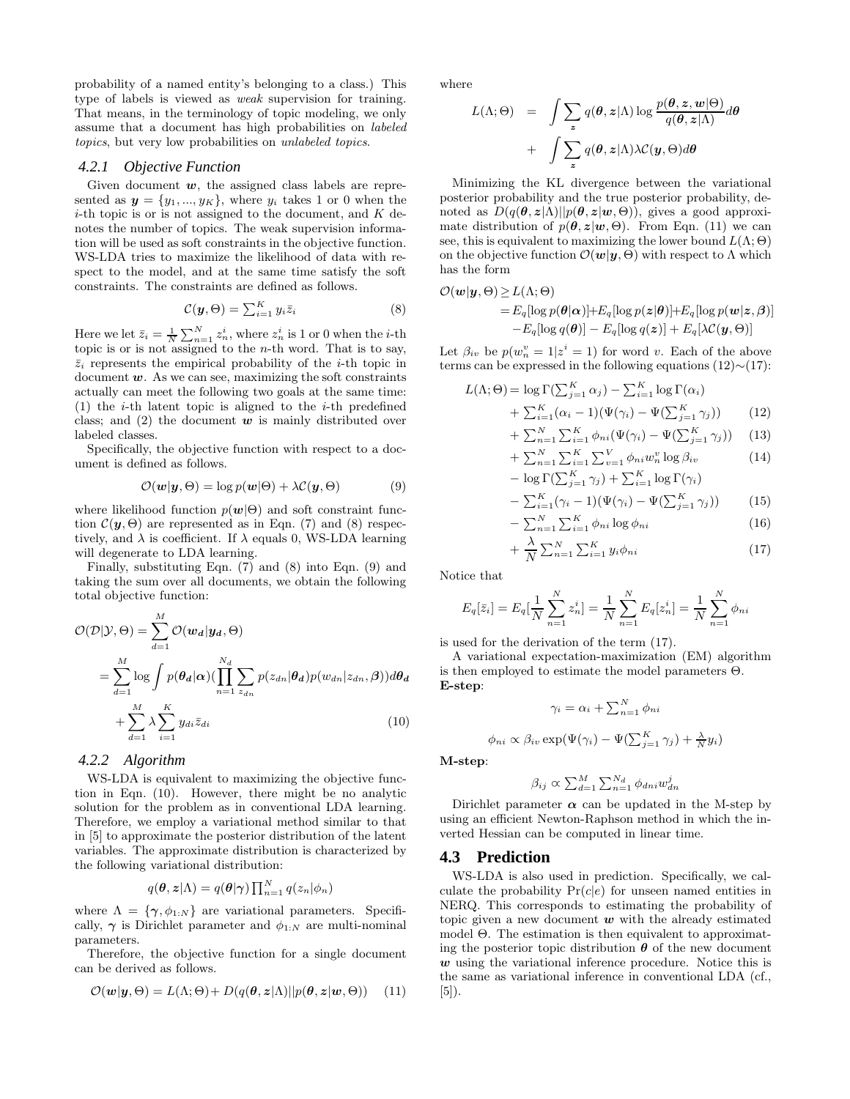probability of a named entity's belonging to a class.) This type of labels is viewed as *weak* supervision for training. That means, in the terminology of topic modeling, we only assume that a document has high probabilities on *labeled topics*, but very low probabilities on *unlabeled topics*.

#### *4.2.1 Objective Function*

Given document  $w$ , the assigned class labels are represented as  $y = \{y_1, ..., y_K\}$ , where  $y_i$  takes 1 or 0 when the  $i$ -th topic is or is not assigned to the document, and  $K$  denotes the number of topics. The weak supervision information will be used as soft constraints in the objective function. WS-LDA tries to maximize the likelihood of data with respect to the model, and at the same time satisfy the soft constraints. The constraints are defined as follows.

$$
\mathcal{C}(\boldsymbol{y},\Theta) = \sum_{i=1}^{K} y_i \bar{z}_i
$$
 (8)

Here we let  $\bar{z}_i = \frac{1}{N} \sum_{n=1}^{N} z_n^i$ , where  $z_n^i$  is 1 or 0 when the *i*-th topic is or is not assigned to the *n*-th word. That is to say,  $\overline{z}_i$  represents the empirical probability of the *i*-th topic in document *w*. As we can see, maximizing the soft constraints actually can meet the following two goals at the same time: (1) the *i*-th latent topic is aligned to the *i*-th predefined class; and (2) the document *w* is mainly distributed over labeled classes.

Specifically, the objective function with respect to a document is defined as follows.

$$
\mathcal{O}(\mathbf{w}|\mathbf{y},\Theta) = \log p(\mathbf{w}|\Theta) + \lambda \mathcal{C}(\mathbf{y},\Theta)
$$
\n(9)

where likelihood function  $p(w|\Theta)$  and soft constraint function  $\mathcal{C}(\mathbf{y}, \Theta)$  are represented as in Eqn. (7) and (8) respectively, and  $\lambda$  is coefficient. If  $\lambda$  equals 0, WS-LDA learning will degenerate to LDA learning.

Finally, substituting Eqn. (7) and (8) into Eqn. (9) and taking the sum over all documents, we obtain the following total objective function:

$$
\mathcal{O}(\mathcal{D}|\mathcal{Y}, \Theta) = \sum_{d=1}^{M} \mathcal{O}(w_d | \mathbf{y}_d, \Theta)
$$
  
= 
$$
\sum_{d=1}^{M} \log \int p(\theta_d | \alpha) (\prod_{n=1}^{N_d} \sum_{z_{dn}} p(z_{dn} | \theta_d) p(w_{dn} | z_{dn}, \beta)) d\theta_d
$$
  
+ 
$$
\sum_{d=1}^{M} \lambda \sum_{i=1}^{K} y_{di} \bar{z}_{di}
$$
 (10)

#### *4.2.2 Algorithm*

WS-LDA is equivalent to maximizing the objective function in Eqn. (10). However, there might be no analytic solution for the problem as in conventional LDA learning. Therefore, we employ a variational method similar to that in [5] to approximate the posterior distribution of the latent variables. The approximate distribution is characterized by the following variational distribution:

$$
q(\boldsymbol{\theta}, \boldsymbol{z} | \Lambda) = q(\boldsymbol{\theta} | \boldsymbol{\gamma}) \prod_{n=1}^{N} q(z_n | \phi_n)
$$

where  $\Lambda = {\gamma, \phi_{1:N}}$  are variational parameters. Specifically,  $\gamma$  is Dirichlet parameter and  $\phi_{1:N}$  are multi-nominal parameters.

Therefore, the objective function for a single document can be derived as follows.

$$
\mathcal{O}(\boldsymbol{w}|\boldsymbol{y},\Theta) = L(\Lambda;\Theta) + D(q(\boldsymbol{\theta},\boldsymbol{z}|\Lambda)||p(\boldsymbol{\theta},\boldsymbol{z}|\boldsymbol{w},\Theta)) \quad (11)
$$

where

$$
L(\Lambda; \Theta) = \int \sum_{z} q(\theta, z | \Lambda) \log \frac{p(\theta, z, w | \Theta)}{q(\theta, z | \Lambda)} d\theta
$$

$$
+ \int \sum_{z} q(\theta, z | \Lambda) \lambda C(\mathbf{y}, \Theta) d\theta
$$

Minimizing the KL divergence between the variational posterior probability and the true posterior probability, denoted as  $D(q(\theta, z|\Lambda)||p(\theta, z|w, \Theta))$ , gives a good approximate distribution of  $p(\theta, z | w, \Theta)$ . From Eqn. (11) we can see, this is equivalent to maximizing the lower bound  $L(\Lambda; \Theta)$ on the objective function  $\mathcal{O}(w|\mathbf{y}, \Theta)$  with respect to  $\Lambda$  which has the form

$$
\mathcal{O}(\boldsymbol{w}|\boldsymbol{y},\Theta) \ge L(\Lambda;\Theta) \n= E_q[\log p(\boldsymbol{\theta}|\boldsymbol{\alpha})] + E_q[\log p(\boldsymbol{z}|\boldsymbol{\theta})] + E_q[\log p(\boldsymbol{w}|\boldsymbol{z},\boldsymbol{\beta})] \n- E_q[\log q(\boldsymbol{\theta})] - E_q[\log q(\boldsymbol{z})] + E_q[\lambda \mathcal{C}(\boldsymbol{y},\Theta)]
$$

Let  $\beta_{iv}$  be  $p(w_n^v = 1 | z^i = 1)$  for word v. Each of the above terms can be expressed in the following equations  $(12) \sim (17)$ :

$$
L(\Lambda; \Theta) = \log \Gamma(\sum_{j=1}^{K} \alpha_j) - \sum_{i=1}^{K} \log \Gamma(\alpha_i)
$$
  
+ 
$$
\sum_{i=1}^{K} (\alpha_i - 1)(\Psi(\gamma_i) - \Psi(\sum_{j=1}^{K} \gamma_j))
$$
 (12)  
+ 
$$
\sum_{n=1}^{N} \sum_{i=1}^{K} \phi_{ni}(\Psi(\gamma_i) - \Psi(\sum_{j=1}^{K} \gamma_j))
$$
 (13)

$$
+ \sum_{n=1}^{N} \sum_{i=1}^{i} \varphi_{ni}(\Psi(\gamma_i) - \Psi(\sum_{j=1}^{i} \gamma_j))
$$
 (13)  
+ 
$$
\sum_{n=1}^{N} \sum_{i=1}^{K} \sum_{v=1}^{V} \phi_{ni}w_n^v \log \beta_{iv}
$$
 (14)

$$
- \log \Gamma(\sum_{j=1}^K \gamma_j) + \sum_{i=1}^K \log \Gamma(\gamma_i)
$$

$$
- \sum_{i=1}^{K} (\gamma_i - 1)(\Psi(\gamma_i) - \Psi(\sum_{j=1}^{K} \gamma_j)) \qquad (15)
$$
  
- 
$$
\sum_{n=1}^{N} \sum_{i=1}^{K} \phi_{ni} \log \phi_{ni} \qquad (16)
$$

$$
+\frac{\lambda}{N}\sum_{n=1}^{N}\sum_{i=1}^{K}y_{i}\phi_{ni} \qquad (17)
$$

Notice that

$$
E_q[\bar{z}_i] = E_q[\frac{1}{N} \sum_{n=1}^N z_n^i] = \frac{1}{N} \sum_{n=1}^N E_q[z_n^i] = \frac{1}{N} \sum_{n=1}^N \phi_{ni}
$$

is used for the derivation of the term (17).

A variational expectation-maximization (EM) algorithm is then employed to estimate the model parameters Θ. **E-step**:

$$
\gamma_i = \alpha_i + \sum_{n=1}^{N} \phi_{ni}
$$

$$
\phi_{ni} \propto \beta_{iv} \exp(\Psi(\gamma_i) - \Psi(\sum_{j=1}^{K} \gamma_j) + \frac{\lambda}{N} y_i)
$$

**M-step**:

$$
\beta_{ij} \propto \sum_{d=1}^{M} \sum_{n=1}^{N_d} \phi_{dni} w_{dn}^j
$$

Dirichlet parameter  $\alpha$  can be updated in the M-step by using an efficient Newton-Raphson method in which the inverted Hessian can be computed in linear time.

#### **4.3 Prediction**

WS-LDA is also used in prediction. Specifically, we calculate the probability  $Pr(c|e)$  for unseen named entities in NERQ. This corresponds to estimating the probability of topic given a new document *w* with the already estimated model Θ. The estimation is then equivalent to approximating the posterior topic distribution  $\theta$  of the new document *w* using the variational inference procedure. Notice this is the same as variational inference in conventional LDA (cf.,  $[5]$ .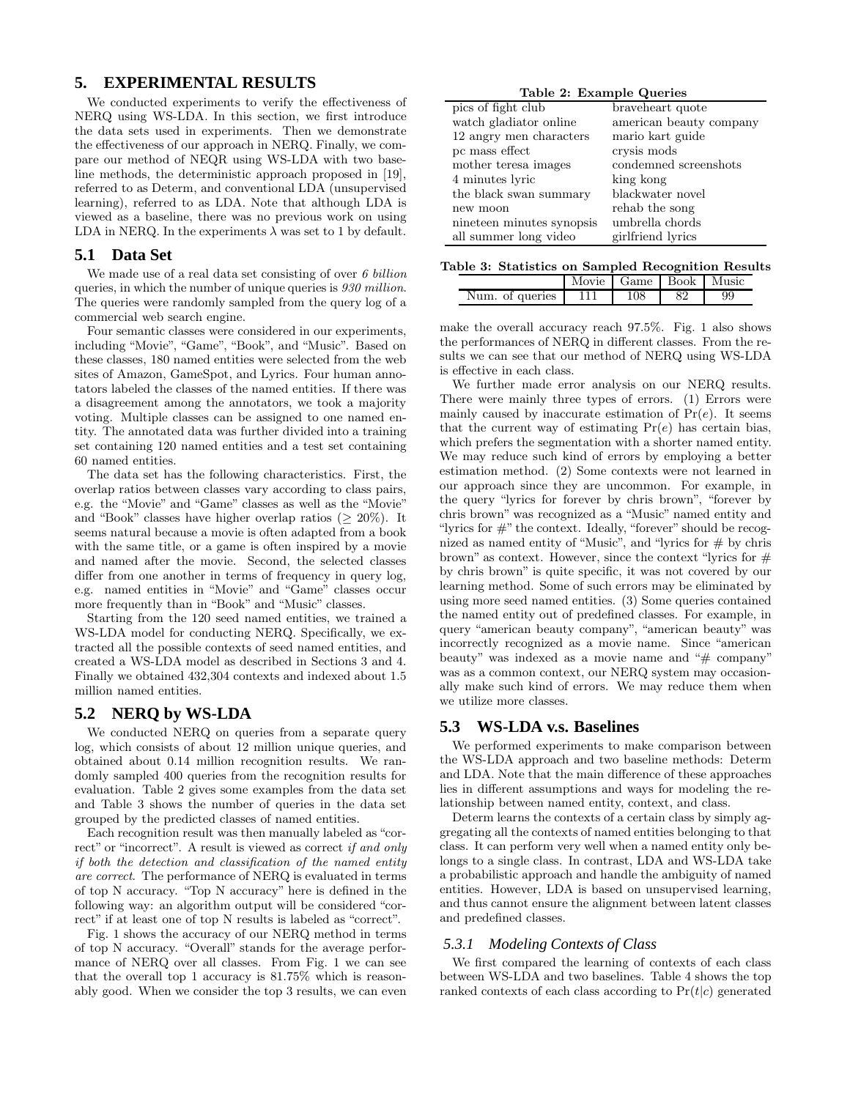## **5. EXPERIMENTAL RESULTS**

We conducted experiments to verify the effectiveness of NERQ using WS-LDA. In this section, we first introduce the data sets used in experiments. Then we demonstrate the effectiveness of our approach in NERQ. Finally, we compare our method of NEQR using WS-LDA with two baseline methods, the deterministic approach proposed in [19], referred to as Determ, and conventional LDA (unsupervised learning), referred to as LDA. Note that although LDA is viewed as a baseline, there was no previous work on using LDA in NERQ. In the experiments  $\lambda$  was set to 1 by default.

## **5.1 Data Set**

We made use of a real data set consisting of over *6 billion* queries, in which the number of unique queries is *930 million*. The queries were randomly sampled from the query log of a commercial web search engine.

Four semantic classes were considered in our experiments, including "Movie", "Game", "Book", and "Music". Based on these classes, 180 named entities were selected from the web sites of Amazon, GameSpot, and Lyrics. Four human annotators labeled the classes of the named entities. If there was a disagreement among the annotators, we took a majority voting. Multiple classes can be assigned to one named entity. The annotated data was further divided into a training set containing 120 named entities and a test set containing 60 named entities.

The data set has the following characteristics. First, the overlap ratios between classes vary according to class pairs, e.g. the "Movie" and "Game" classes as well as the "Movie" and "Book" classes have higher overlap ratios ( $\geq 20\%$ ). It seems natural because a movie is often adapted from a book with the same title, or a game is often inspired by a movie and named after the movie. Second, the selected classes differ from one another in terms of frequency in query log. e.g. named entities in "Movie" and "Game" classes occur more frequently than in "Book" and "Music" classes.

Starting from the 120 seed named entities, we trained a WS-LDA model for conducting NERQ. Specifically, we extracted all the possible contexts of seed named entities, and created a WS-LDA model as described in Sections 3 and 4. Finally we obtained 432,304 contexts and indexed about 1.5 million named entities.

## **5.2 NERQ by WS-LDA**

We conducted NERQ on queries from a separate query log, which consists of about 12 million unique queries, and obtained about 0.14 million recognition results. We randomly sampled 400 queries from the recognition results for evaluation. Table 2 gives some examples from the data set and Table 3 shows the number of queries in the data set grouped by the predicted classes of named entities.

Each recognition result was then manually labeled as "correct" or "incorrect". A result is viewed as correct *if and only if both the detection and classification of the named entity are correct*. The performance of NERQ is evaluated in terms of top N accuracy. "Top N accuracy" here is defined in the following way: an algorithm output will be considered "correct" if at least one of top N results is labeled as "correct".

Fig. 1 shows the accuracy of our NERQ method in terms of top N accuracy. "Overall" stands for the average performance of NERQ over all classes. From Fig. 1 we can see that the overall top 1 accuracy is 81.75% which is reasonably good. When we consider the top 3 results, we can even

|  |  |  | Table 2: Example Queries |
|--|--|--|--------------------------|
|--|--|--|--------------------------|

| pics of fight club        | braveheart quote        |
|---------------------------|-------------------------|
| watch gladiator online    | american beauty company |
| 12 angry men characters   | mario kart guide        |
| pc mass effect            | crysis mods             |
| mother teresa images      | condemned screenshots   |
| 4 minutes lyric           | king kong               |
| the black swan summary    | blackwater novel        |
| new moon                  | rehab the song          |
| nineteen minutes synopsis | umbrella chords         |
| all summer long video     | girlfriend lyrics       |

|  |  |  |  | Table 3: Statistics on Sampled Recognition Results |  |
|--|--|--|--|----------------------------------------------------|--|
|--|--|--|--|----------------------------------------------------|--|

|                | vie | Game     | <b>Book</b> | Music |
|----------------|-----|----------|-------------|-------|
| Num<br>queries |     | $_{108}$ |             | 99    |

make the overall accuracy reach 97.5%. Fig. 1 also shows the performances of NERQ in different classes. From the results we can see that our method of NERQ using WS-LDA is effective in each class.

We further made error analysis on our NERQ results. There were mainly three types of errors. (1) Errors were mainly caused by inaccurate estimation of  $Pr(e)$ . It seems that the current way of estimating  $Pr(e)$  has certain bias, which prefers the segmentation with a shorter named entity. We may reduce such kind of errors by employing a better estimation method. (2) Some contexts were not learned in our approach since they are uncommon. For example, in the query "lyrics for forever by chris brown", "forever by chris brown" was recognized as a "Music" named entity and "lyrics for #" the context. Ideally, "forever" should be recognized as named entity of "Music", and "lyrics for # by chris brown" as context. However, since the context "lyrics for  $#$ by chris brown" is quite specific, it was not covered by our learning method. Some of such errors may be eliminated by using more seed named entities. (3) Some queries contained the named entity out of predefined classes. For example, in query "american beauty company", "american beauty" was incorrectly recognized as a movie name. Since "american beauty" was indexed as a movie name and "# company" was as a common context, our NERQ system may occasionally make such kind of errors. We may reduce them when we utilize more classes.

## **5.3 WS-LDA v.s. Baselines**

We performed experiments to make comparison between the WS-LDA approach and two baseline methods: Determ and LDA. Note that the main difference of these approaches lies in different assumptions and ways for modeling the relationship between named entity, context, and class.

Determ learns the contexts of a certain class by simply aggregating all the contexts of named entities belonging to that class. It can perform very well when a named entity only belongs to a single class. In contrast, LDA and WS-LDA take a probabilistic approach and handle the ambiguity of named entities. However, LDA is based on unsupervised learning, and thus cannot ensure the alignment between latent classes and predefined classes.

#### *5.3.1 Modeling Contexts of Class*

We first compared the learning of contexts of each class between WS-LDA and two baselines. Table 4 shows the top ranked contexts of each class according to  $Pr(t|c)$  generated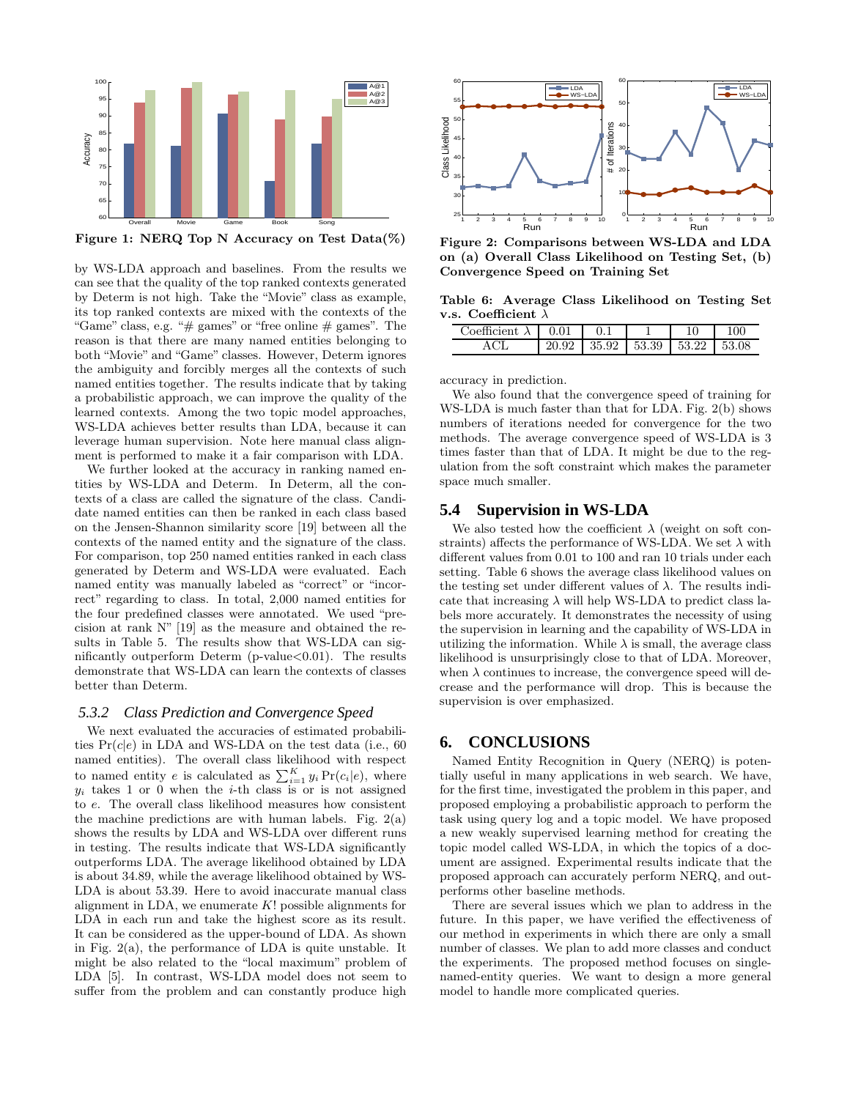

**Figure 1: NERQ Top N Accuracy on Test Data(%)**

by WS-LDA approach and baselines. From the results we can see that the quality of the top ranked contexts generated by Determ is not high. Take the "Movie" class as example, its top ranked contexts are mixed with the contexts of the "Game" class, e.g. "# games" or "free online # games". The reason is that there are many named entities belonging to both "Movie" and "Game" classes. However, Determ ignores the ambiguity and forcibly merges all the contexts of such named entities together. The results indicate that by taking a probabilistic approach, we can improve the quality of the learned contexts. Among the two topic model approaches, WS-LDA achieves better results than LDA, because it can leverage human supervision. Note here manual class alignment is performed to make it a fair comparison with LDA.

We further looked at the accuracy in ranking named entities by WS-LDA and Determ. In Determ, all the contexts of a class are called the signature of the class. Candidate named entities can then be ranked in each class based on the Jensen-Shannon similarity score [19] between all the contexts of the named entity and the signature of the class. For comparison, top 250 named entities ranked in each class generated by Determ and WS-LDA were evaluated. Each named entity was manually labeled as "correct" or "incorrect" regarding to class. In total, 2,000 named entities for the four predefined classes were annotated. We used "precision at rank N" [19] as the measure and obtained the results in Table 5. The results show that WS-LDA can significantly outperform Determ (p-value $< 0.01$ ). The results demonstrate that WS-LDA can learn the contexts of classes better than Determ.

#### *5.3.2 Class Prediction and Convergence Speed*

We next evaluated the accuracies of estimated probabilities  $Pr(c|e)$  in LDA and WS-LDA on the test data (i.e., 60) named entities). The overall class likelihood with respect to named entity e is calculated as  $\sum_{i=1}^{K} y_i \Pr(c_i|e)$ , where  $y_i$  takes 1 or 0 when the *i*-th class is or is not assigned to e. The overall class likelihood measures how consistent the machine predictions are with human labels. Fig.  $2(a)$ shows the results by LDA and WS-LDA over different runs in testing. The results indicate that WS-LDA significantly outperforms LDA. The average likelihood obtained by LDA is about 34.89, while the average likelihood obtained by WS-LDA is about 53.39. Here to avoid inaccurate manual class alignment in LDA, we enumerate  $K!$  possible alignments for LDA in each run and take the highest score as its result. It can be considered as the upper-bound of LDA. As shown in Fig. 2(a), the performance of LDA is quite unstable. It might be also related to the "local maximum" problem of LDA [5]. In contrast, WS-LDA model does not seem to suffer from the problem and can constantly produce high



**Figure 2: Comparisons between WS-LDA and LDA on (a) Overall Class Likelihood on Testing Set, (b) Convergence Speed on Training Set**

**Table 6: Average Class Likelihood on Testing Set v.s. Coefficient** λ

| oefficient | $\lambda$   0.01 |                             |  |       |
|------------|------------------|-----------------------------|--|-------|
|            | 20 Q2            | $35.92$   $53.39$   $53.22$ |  | 53.08 |

accuracy in prediction.

We also found that the convergence speed of training for WS-LDA is much faster than that for LDA. Fig. 2(b) shows numbers of iterations needed for convergence for the two methods. The average convergence speed of WS-LDA is 3 times faster than that of LDA. It might be due to the regulation from the soft constraint which makes the parameter space much smaller.

## **5.4 Supervision in WS-LDA**

We also tested how the coefficient  $\lambda$  (weight on soft constraints) affects the performance of WS-LDA. We set  $\lambda$  with different values from 0.01 to 100 and ran 10 trials under each setting. Table 6 shows the average class likelihood values on the testing set under different values of  $\lambda$ . The results indicate that increasing  $\lambda$  will help WS-LDA to predict class labels more accurately. It demonstrates the necessity of using the supervision in learning and the capability of WS-LDA in utilizing the information. While  $\lambda$  is small, the average class likelihood is unsurprisingly close to that of LDA. Moreover, when  $\lambda$  continues to increase, the convergence speed will decrease and the performance will drop. This is because the supervision is over emphasized.

## **6. CONCLUSIONS**

Named Entity Recognition in Query (NERQ) is potentially useful in many applications in web search. We have, for the first time, investigated the problem in this paper, and proposed employing a probabilistic approach to perform the task using query log and a topic model. We have proposed a new weakly supervised learning method for creating the topic model called WS-LDA, in which the topics of a document are assigned. Experimental results indicate that the proposed approach can accurately perform NERQ, and outperforms other baseline methods.

There are several issues which we plan to address in the future. In this paper, we have verified the effectiveness of our method in experiments in which there are only a small number of classes. We plan to add more classes and conduct the experiments. The proposed method focuses on singlenamed-entity queries. We want to design a more general model to handle more complicated queries.